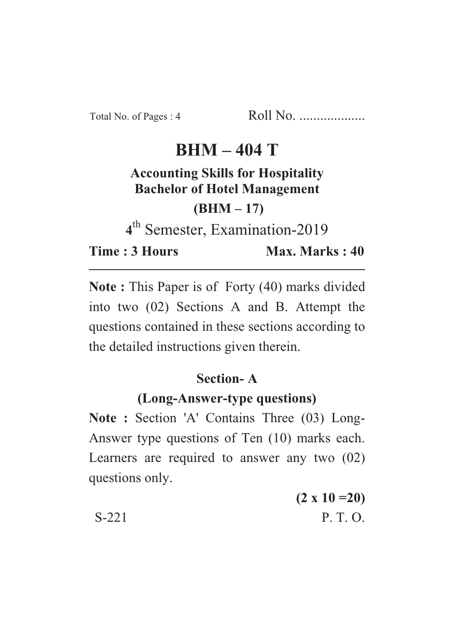# $RHM - 404 T$

### **Accounting Skills for Hospitality Bachelor of Hotel Management**

 $(BHM-17)$ 

<sup>th</sup> Semester, Examination-2019

**Time: 3 Hours Time : 3 Hours Max. Marks : 40**

**Note :** This Paper is of Forty (40) marks divided into two (02) Sections A and B. Attempt the questions contained in these sections according to the detailed instructions given therein.

#### Section-A

## **(Long-Answer-type questions)**

**(Long-Answer-type questions) Note : Section 'A' Contains Three (03) Long-**Answer type questions of Ten (10) marks each. Learners are required to answer any two (02) questions only.

|       | $(2 \times 10 = 20)$ |
|-------|----------------------|
| S-221 | P. T. O.             |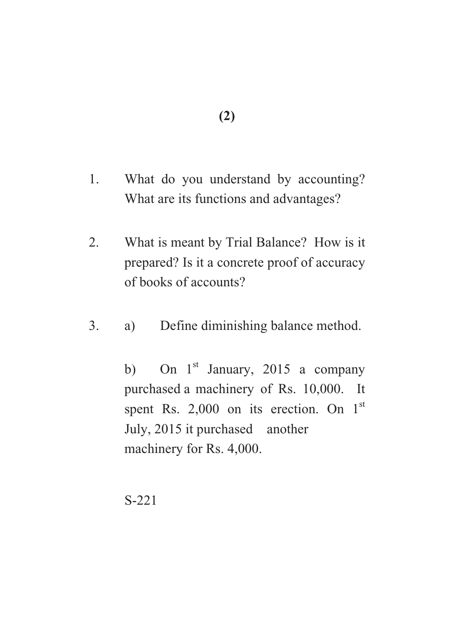- **(2)**
- 1. What do you understand by accounting? What are its functions and advantages?
- 2. What is meant by Trial Balance? How is it prepared? Is it a concrete proof of accuracy of books of accounts?
- 3. a) Define diminishing balance method.

b) On  $1<sup>st</sup>$  January, 2015 a company purchased a machinery of Rs. 10,000. It spent Rs. 2,000 on its erection. On  $1<sup>st</sup>$ July, 2015 it purchased another machinery for Rs. 4,000.

S-221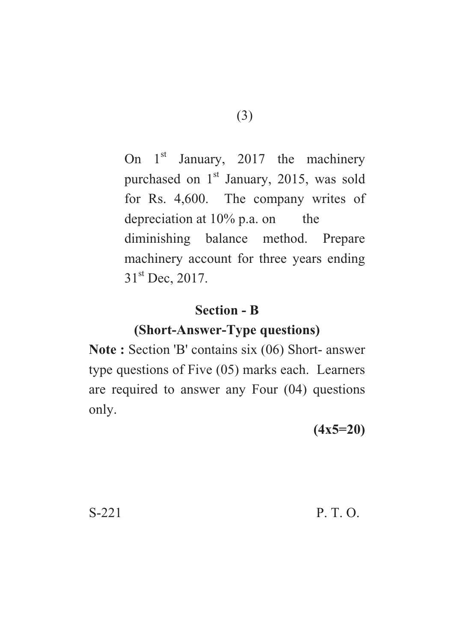On  $1<sup>st</sup>$  January, 2017 the machinery purchased on  $1<sup>st</sup>$  January, 2015, was sold for Rs. 4,600. The company writes of depreciation at  $10\%$  p.a. on the diminishing balance method. Prepare machinery account for three years ending  $31<sup>st</sup>$  Dec, 2017.

#### **Section - B**

## **(Short-Answer-Type questions)**

**(Short-Answer-Type questions) Note : Section 'B' contains six (06) Short- answer** type questions of Five (05) marks each. Learners are required to answer any Four (04) questions only.

**(4x5=20)**

S-221 P. T. O.